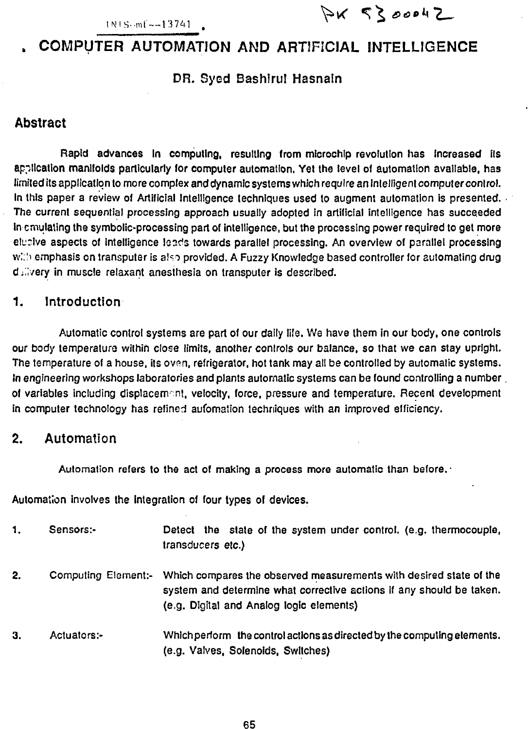PK 5300042

# **. COMPUTER AUTOMATION AND ARTIFICIAL INTELLIGENCE**

#### DR. Sycd Bashlrul Hasnain

and the contract of the contract of the contract of the contract of the contract of the contract of the contract of

## **Abstract**

Rapid advances In computing, resulting from microchip revolution has Increased Its application manifolds particularly for computer automation. Yet the level of automation available, has limited its application to more complex and dynamic systems which require an intelligent computer control. In this paper a review of Artificial Intelligence techniques used to augment automation is presented. The current sequential processing approach usually adopted in artificial intelligence has succeeded in emulating the symbolic-processing part of intelligence, but the processing power required to get more elucive aspects of intelligence leads towards parallel processing. An overview of parallel processing with emphasis on transputer is also provided. A Fuzzy Knowledge based controller for automating drug dailyery in muscle relaxant anesthesia on transputer is described.

## **1. Introduction**

Automatic control systems are part of our daily life. We have them in our body, one controls our body temperaturo within close limits, another controls our balance, so that we can stay upright. The temperature of a house, its oven, refrigerator, hot tank may all be controlled by automatic systems. fn engineering workshops laboratories and plants automatic systems can be found controlling a number of variables including displacement, velocity, force, pressure and temperature. Recent development in computer technology has refined automation techniques with an improved efficiency.

## **2. Automation**

Automation refers to the act of making a process more automatic than before. •

Automation involves the integration of tour types of devices.

| 1. | Sensors:-           | Detect the state of the system under control. (e.g. thermocouple,<br>transducers etc.)                                                                                                 |
|----|---------------------|----------------------------------------------------------------------------------------------------------------------------------------------------------------------------------------|
| 2. | Computing Element:- | Which compares the observed measurements with desired state of the<br>system and determine what corrective actions if any should be taken.<br>(e.g. Digital and Analog logic elements) |
| З. | Actuators:-         | Which perform the control actions as directed by the computing elements.<br>(e.g. Valves, Solenoids, Switches)                                                                         |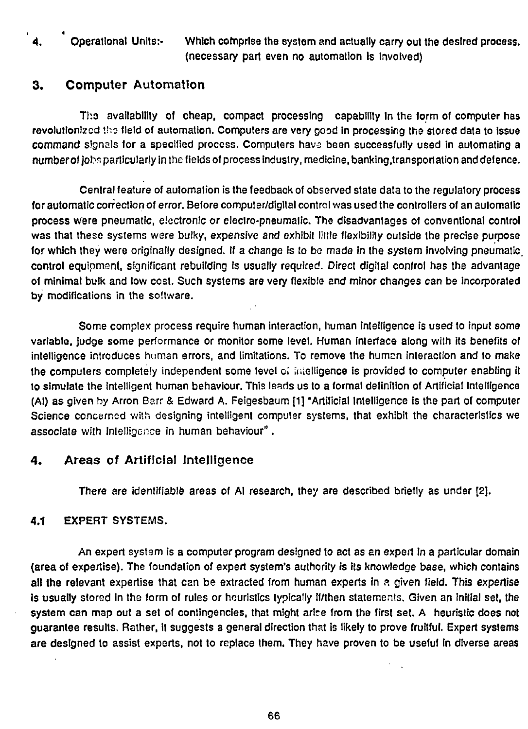4. Operational Units:- Which comprise the system and actually carry out the desired process. (necessary part even no automation is Involved)

## **3. Computer Automation**

Tho availability of cheap, compact processing capability In the form of computer has revolutionized tho field of automation. Computers are very good in processing the stored data to issue command signals for a specified process. Computers havs been successfully used in automating a numberof jobs particularly in the fields of process industry, medicine, banking.transportation and defence.

Central feature of automation is the feedback of observed state data to the regulatory process **for** automatic correction of error. Before computer/digital control was used the controllers of an automatic process were pneumatic, electronic or electro-pneumatic. The disadvantages of conventional control was that these systems were bulky, expensive and exhibit little flexibility outside the precise purpose for which they were originally designed. If a change is to be made in the system involving pneumatic. control equipment, significant rebuilding is usually required. Direct digital control has the advantage of minimal bulk and low cost. Such systems are very flexible and minor changes can be Incorporated by modifications in the software.

Some complex process require human interaction, human intelligence is used to input some variable, judge some performance or monitor some level. Human interface along with its benefits of intelligence introduces human errors, and limitations. To remove the humen interaction and to make the computers completely independent some level c; intelligence is provided to computer enabling it to simulate the intelligent human behaviour. This leads us to a formal definition of Artificial Intelligence (Al) as given by Arron Earr & Edward A. Feigesbaum [1] "Artificial Intelligence is the part of computer Science concerned with designing intelligent computer systems, that exhibit the characteristics we associate with intelligence in human behaviour".

## **4. Areas of Artificial** Intelligence

There are identifiable areas of Al research, they are described briefly as under [2].

## 4.1 EXPERT SYSTEMS.

An expert system is a computer program designed to act as an expert In a particular domain (area of expertise). The foundation of expert system's authority is its knowledge base, which contains all the relevant expertise that can be extracted from human experts in a given field. This expertise is usually stored in the form of rules or heuristics typically if/then statements. Given an initial set, the system can map out a set of contingencies, that might arise from the first set. A heuristic does not guarantee results. Rather, it suggests a general direction that is likely to prove fruitful. Expert systems are designed to assist experts, not to replace them. They have proven to be useful in diverse areas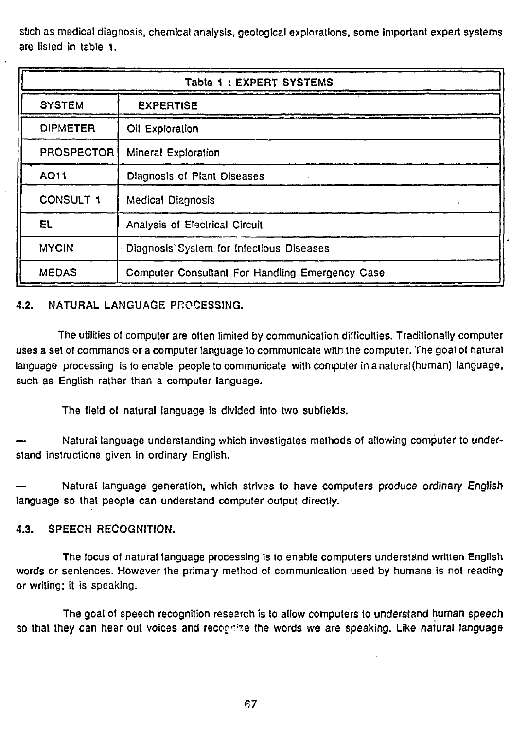stich as medical diagnosis, chemical analysis, geological explorations, some important expert systems are listed in table 1.

| Table 1: EXPERT SYSTEMS |                                                 |  |
|-------------------------|-------------------------------------------------|--|
| <b>SYSTEM</b>           | <b>EXPERTISE</b>                                |  |
| <b>DIPMETER</b>         | Oil Exploration                                 |  |
| <b>PROSPECTOR</b>       | <b>Mineral Exploration</b>                      |  |
| AQ11                    | Diagnosis of Plant Diseases                     |  |
| <b>CONSULT 1</b>        | <b>Medical Diagnosis</b>                        |  |
| EL                      | Analysis of Electrical Circuit                  |  |
| <b>MYCIN</b>            | Diagnosis System for Infectious Diseases        |  |
| <b>MEDAS</b>            | Computer Consultant For Handling Emergency Case |  |

### 4.2. NATURAL LANGUAGE PROCESSING.

The utilities of computer are often limited by communication difficulties. Traditionally computer uses a set of commands or a computer language to communicate with the computer. The goal of natural language processing is to enable people to communicate with computer in anatural(human) language, such as English rather than a computer language.

The field of natural language is divided into two subfields.

— Natural language understanding which investigates methods of allowing computer to understand instructions given in ordinary English.

Natural language generation, which strives to have computers produce ordinary English language so that people can understand computer output directly.

### 4.3. SPEECH RECOGNITION.

The focus of natural language processing is to enable computers understand written English words or sentences. However the primary method of communication used by humans is not reading or writing; it is speaking.

The goal of speech recognition research is to allow computers to understand human speech so that they can hear out voices and recoonize the words we are speaking. Like natural language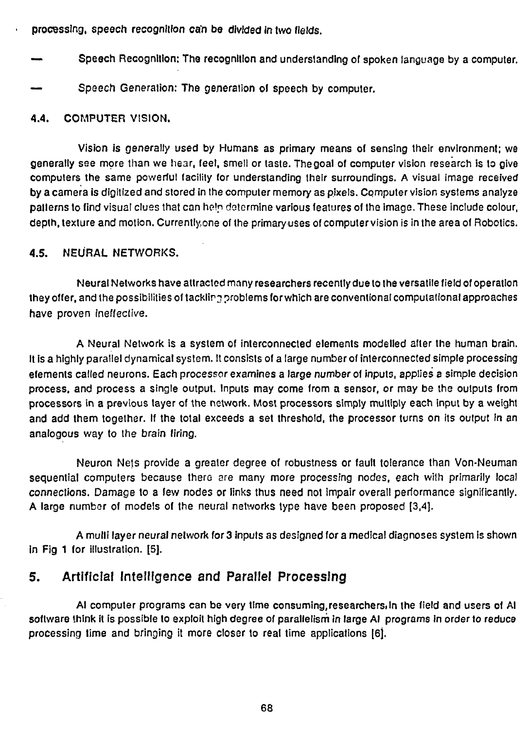processing, speech recognition can be divided in two fields.

- Speech Recognition: The recognition and understanding of spoken language by a computer.
- Speech Generation: The generation of speech by computer.

#### 4.4. COMPUTER VISION.

Vision is generally used by Humans as primary means of sensing their environment; we generally see more than we hear, feel, smell or taste. The goal of computer vision research is to give computers the same powerful facility for understanding their surroundings. A visual image received by a camera is digitized and stored in the computer memory as pixels. Computer vision systems analyze patterns to find visual clues that can help determine various features of the image. These include colour, depth, texture and motion. Currently,one of the primary uses of computer vision is in the area of Robotics.

### 4.5. NEURAL NETWORKS.

Neural Networks have attracted many researchers recently due to the versatile field of operation they offer, and the possibilities of tacklire problems for which are conventional computational approaches have proven ineffective.

A Neural Network is a system of interconnected elements modelled after the human brain. It is a highly parallel dynamical system. It consists of a large number of interconnected simple processing elements called neurons. Each processor examines a large number of inputs, applies a simple decision process, and process a single output. Inputs may come from a sensor, or may be the outputs from processors in a previous layer of the network. Most processors simply multiply each input by a weight and add them together. If the total exceeds a set threshold, the processor turns on its output in an analogous way to the brain firing.

Neuron Nets provide a greater degree of robustness or fault tolerance than Von-Neuman sequential computers because there are many more processing nodes, each with primarily local connections. Damage to a few nodes or links thus need not impair overall performance significantly. A large number of models of the neural networks type have been proposed [3,4].

A mulli layer neural network for 3 inputs as designed for a medical diagnoses system is shown in Fig 1 for illustration. [5].

## 5. Artificial Intelligence and Parallel Processing

Al computer programs can be very time consuming,researchers.in the field and users of Al software think it is possible to exploit high degree of parallelism in large AI programs in order to reduce processing time and bringing it more closer to real time applications [6].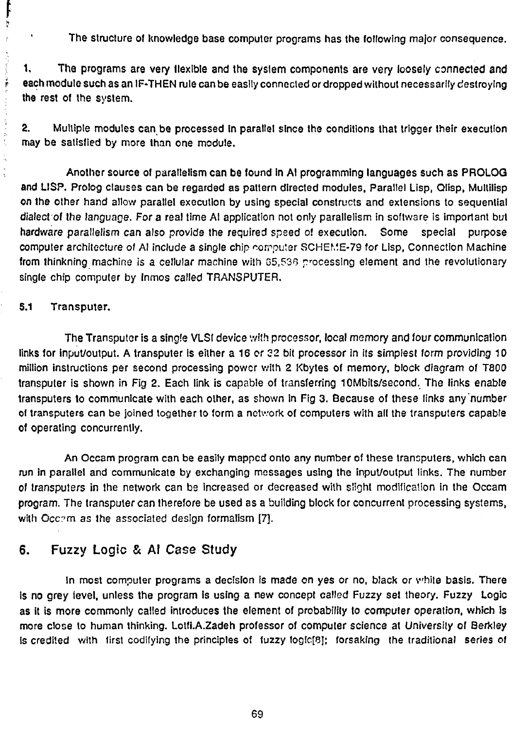The structure of knowledge base computer programs has the following major consequence.

1. The programs are very flexible and the system components are very loosely connected and each module such as an IF-THEN rule can be easily connected or dropped without necessarily destroying the rest of the system.

2. Multiple modules can be processed In parallel since the conditions that trigger their execution may be satisfied by more than one module.

Another source of parallelism can be found In Al programming languages such as PROLOG and LISP. Prolog clauses can be regarded as pattern directed modules. Parallel Lisp, Qlisp, Mullilisp on the other hand allow parallel execution by using special constructs and extensions to sequential dialect of the language. For a real time Al application not only parallelism in software is important but hardware parallelism can also provide the required spsed of execution. Some special purpose computer architecture of Al include a single chip computer SCHEME-79 for Lisp, Connection Machine from thinkning machine is a cellular machine with 65,536 processing element and the revolutionary single chip computer by Inmos called TRANSPUTER.

#### 5.1 Transputer.

ŗ ķ

 $\mathbf{t}$ 

The Transputer is a single VLSI device with processor, local memory and four communication links for input/output. A transputer is either a 16 or 32 bit processor in its simplest form providing 10 million instructions per second processing power with 2 Kbytes of memory, block diagram of T800 transputer is shown in Fig 2. Each link is capable of transferring 10Mbits/second. The links enable transputers to communicate with each other, as shown in Fig 3. Because of these links any number of transputers can be joined together to form a network of computers with all the transputers capable of operating concurrently.

An Occam program can be easily mapped onto any number of these transputers, which can run in parallel and communicate by exchanging messages using the input/output links. The number of transputers in the network can be increased or decreased with slight modification in the Occam program. The transputer can therefore be used as a building block for concurrent processing systems, with Occ?m as the associated design formalism [7].

# 6. Fuzzy Logic & Al Case Study

In most computer programs a decision Is made en yes or no, black or vhiie basis. There is no grey level, unless the program is using a new concept called Fuzzy set theory. Fuzzy Logic as it is more commonly called introduces the element of probability to computer operation, which is more close to human thinking. Lotfl.A.Zadeh professor of computer science at University of Berkley is credited with first codifying the principles of fuzzy logic[8]; forsaking the traditional series of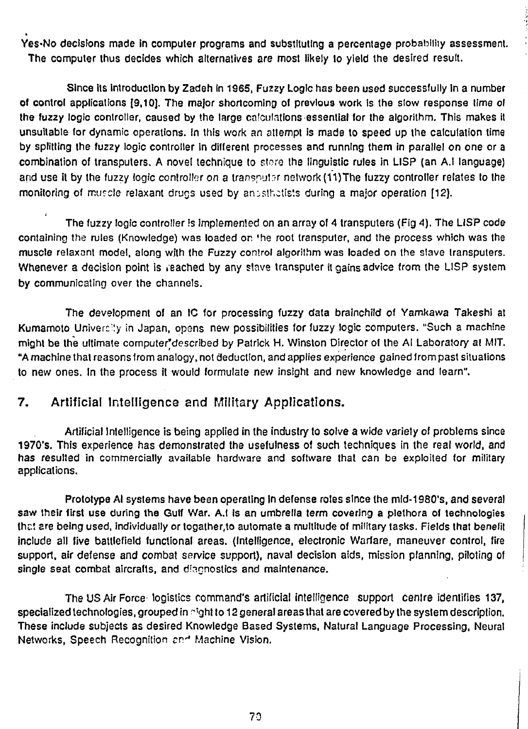Yes-No decisions made in computer programs and substituting a percentage probability assessment. The computer thus decides which alternatives are most likely to yield the desired result.

Since its introduction by Zadeh in 1965, Fuzzy Logic has been used successfully in a number of control applications [9,10]. The major shortcoming of previous work is the slow response time of the fuzzy logic controller, caused by the large calculations essential for the algorithm. This makes it unsuitable for dynamic operations. In this work an attempt is made to speed up the calculation time by splitting the fuzzy logic controller in different processes and running them in parallel on one or a combination of transputers. A novel technique to store the linguistic rules in LISP (an A.I language) and use it by the fuzzy logic controller on a transputer network (11) The fuzzy controller relates to the monitoring of muscle relaxant drugs used by anusthatists during a major operation [12].

The fuzzy logic controller is implemented on an array of 4 transputers (Fig 4). The LISP code containing the rules (Knowledge) was loaded on 'he root transputer, and the process which was the muscle relaxant model, along with the Fuzzy control algorithm was loaded on the slave transputers. Whenever a decision point is reached by any slave transputer it gains advice from the LISP system by communicating over the channels.

The development of an IC for processing fuzzy data brainchild of Yamkawa Takeshi at Kumamoto Univercity in Japan, opens new possibilities for fuzzy logic computers. "Such a machine might be the ultimate computer'described by Patrick H. Winston Director of the Al Laboratory at MIT. "A machine that reasons from analogy, not deduction, and applies experience gained from past situations to new ones. In the process it would formulate new insight and new knowledge and learn".

## 7. Artificial Intelligence and Military Applications.

Artificial Inlelligence is being applied in the industry to solve a wide variety of problems since 1970's. This experience has demonstrated the usefulness of such techniques in the real world, and has resulted in commercially available hardware and software that can be exploited for military applications.

Prototype Al systems have been operating In defense roles since the mid-1980's, and several saw their first use during the Gulf War. A.t is an umbrella term covering a plethora of technologies that 2re being used, individually or togather.to automate a multitude of military tasks. Fields that benefit include all five battlefield functional areas. (Inlelligence, electronic Warfare, maneuver control, fire support, air defense and combat service support), naval decision aids, mission planning, piloting of single seat combat aircrafts, and diagnostics and maintenance.

The US Air Force logistics command's artificial intelligence support cenlre identifies 137, specialized technologies, grouped in  $\gamma$ 'ght to 12 general areas that are covered by the system description. These include subjects as desired Knowledge Based Systems, Natural Language Processing, Neural Networks, Speech Recognition and Machine Vision.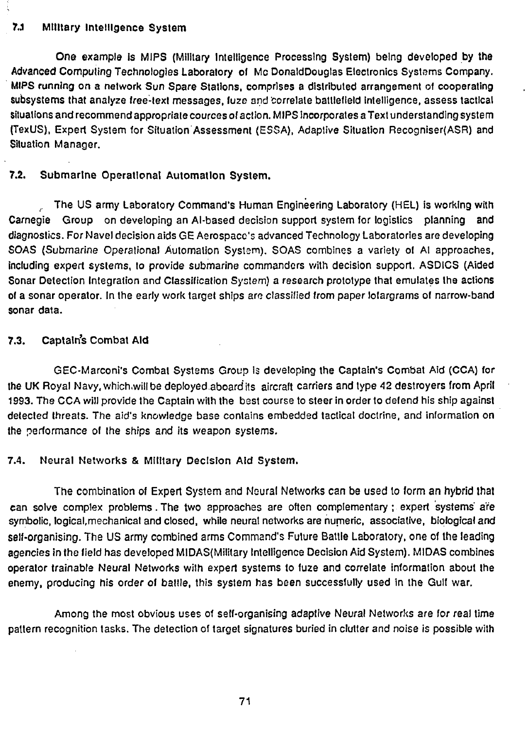#### 7.J Military Intelligence System

One example is MIPS (Military Intelligence Processing System) being developed by the Advanced Computing Technologies Laboratory of Me DonaldDouglas Electronics Systems Company. MIPS running on a network Sun Spare Stations, comprises a distributed arrangement of cooperating subsystems that analyze free-text messages, fuze and correlate battlefield intelligence, assess tactical situations and recommend appropriate cources of action. MIPS incorporates a Text understanding system (TexUS), Expert System for Situation Assessment (ESSA), Adaptive Situation Recogniser(ASR) and Situation Manager.

#### 7.2. Submarine Operational Automation System.

The US army Laboratory Command's Human Engineering Laboratory (HEL) is working with Carnegie Group on developing an Al-based decision support system for logistics planning and diagnostics. For Navel decision aids GE Aerospacc"s advanced Technology Laboratories are developing SOAS (Submarine Operalional Automation System). SOAS combines a variety of Al approaches, including expert systems, to provide submarine commanders with decision support. ASDICS (Aided Sonar Detection Integration and Classification System) a research prototype that emulates the actions of a sonar operator, in the early work target ships are classified from paper lofargrams of narrow-band sonar data.

#### 7.3. Captain's Combat Aid

GEC-Marconi's Combat Systems Group is developing the Captain's Combat Aid (CCA) for the UK Royal Navy.which.willbe deployed.aboard its aircraft carriers and type 42 destroyers from April 1993. The CCA will provide the Captain with the best course to steer in order to defend his ship against detected threats. The aid's knowledge base contains embedded tactical doctrine, and information on the performance of the ships and its weapon systems.

#### 7.4. Neural Networks & Military Decision Aid System.

The combination of Expert System and Neural Networks can be used to form an hybrid **that** can solve complex problems.The two approaches are often complementary; expert systems are symbolic, logical,mechanical and closed, while neural networks are numeric, associative, biological and self-organising. The US army combined arms Command's Future Battle Laboratory, one of the leading agencies in the field has developed MlDAS(Military Intelligence Decision Aid System). MIDAS combines operator trainable Neural Networks wilh expert systems to fuze and correlate information about the enemy, producing his order of battle, this system has been successfully used in the Gull war.

Among the most obvious uses of self-organising adaptive Neural Networks are for real time pattern recognition tasks. The detection of target signatures buried in clutter and noise is possible with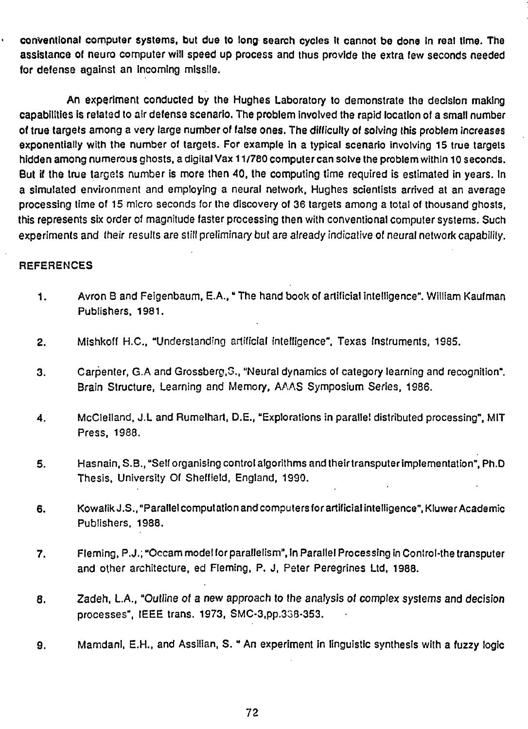conventional computer systems, but due to long search cycles It cannot be done in real time. The assistance of neuro computer will speed up process and thus provide the extra few seconds needed for defense against an incoming missile.

An experiment conducted by the Hughes Laboratory to demonstrate the decision making capabilities is related to air defense scenario. The problem involved the rapid location of a small number of true targets among a very large number of false ones. The difficulty of solving this problem increases exponentially with the number of targets. For example in a typical scenario involving 15 true targets hidden among numerous ghosts, a digital Vax 11/780 computer can solve the problem within 10 seconds. But if the true targets number is more then 40, the computing time required is estimated in years. In a simulated environment and employing a neural network, Hughes scientists arrived at an average processing time of 15 micro seconds for the discovery of 36 targets among a total of thousand ghosts, this represents six order of magnitude faster processing then with conventional computer systems. Such experiments and their results are still preliminary but are already indicative of neural network capability.

#### **REFERENCES**

- 1. Avron B and Feigenbaum, E.A.," The hand book of artificial intelligence". William Kaufman Publishers, 1981.
- 2. Mishkoff H.C., "Understanding artificial intelligence", Texas Instruments, 1985.
- 3. Carpenter, G.A and Grossberg.G., "Neural dynamics of category learning and recognition". Brain Structure, Learning and Memory, AAAS Symposium Series, 1986.
- 4. McClelland, J.L and Rumelhart, D.E., "Explorations in parallel distributed processing", MIT Press, 1988.
- 5. Hasnain, S.B., "Self organising control algorithms and their transputer implementation", Ph.D Thesis, University Of Sheffield, England, 1990.
- 6. Kowalik J.S., "Parallel computation and computers for artificial intelligence", Kluwer Academic Publishers, 1988.
- 7. Fleming, P.J.; "Occam model for parallelism", in Parallel Processing in Control-the transputer and other architecture, ed Fleming, P. J, Peter Peregrines Ltd, 1988.
- 8. Zadeh, L.A., "Outline of a new approach to the analysis of complex systems and decision processes", IEEE trans. 1973, SMC-3,pp.338-353.
- 9. Mamdani, E.H., and Assilian, S. " An experiment in linguistic synthesis with a fuzzy logic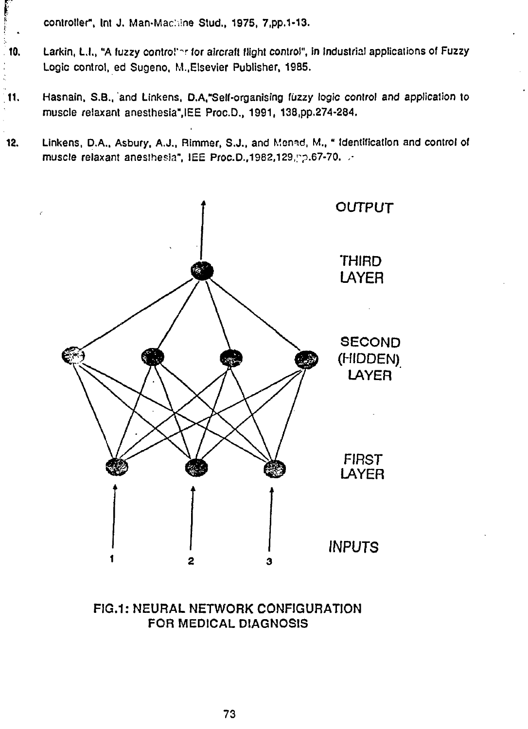• controller", Int J. Man-Machine Stud., 1975, 7,pp.1-13.

- 10. Larkin, L.I., "A fuzzy control"er for aircraft flight control", in Industrial applications of Fuzzy Logic control, ed Sugeno, M..EIsevier Publisher, 1985.
- 11. Hasnain, S.B., and Linkens, D.A,"Self-organising fuzzy logic conlrol and application to muscle relaxant anesthesia",IEE Proc.D., 1991, 138,pp.274-284.
- 12. Linkens, D.A., Asbury. A.J., Rimmer, S.J., and Mennd, M.," Identification and control of muscle relaxant anesthesia", IEE Proc.D., 1982, 129, pp.67-70. .-



FIG.1: NEURAL NETWORK CONFIGURATION FOR MEDICAL DIAGNOSIS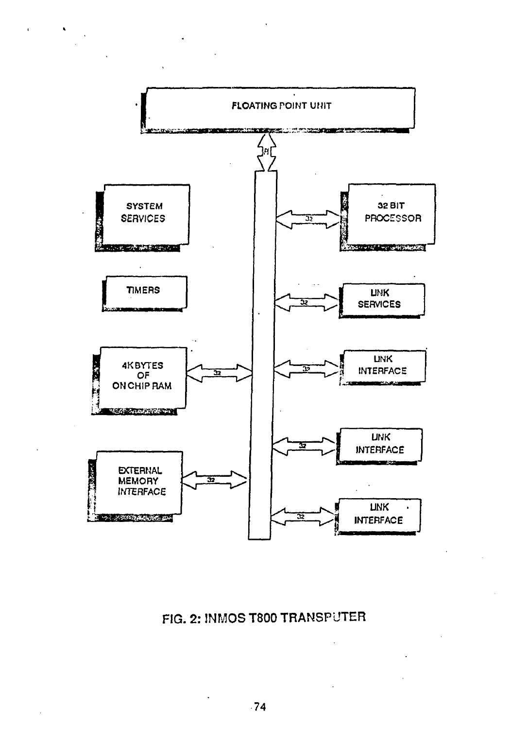

 $\tilde{\mathbf{r}}$ 

FIG. 2: INMOS T800 TRANSPUTER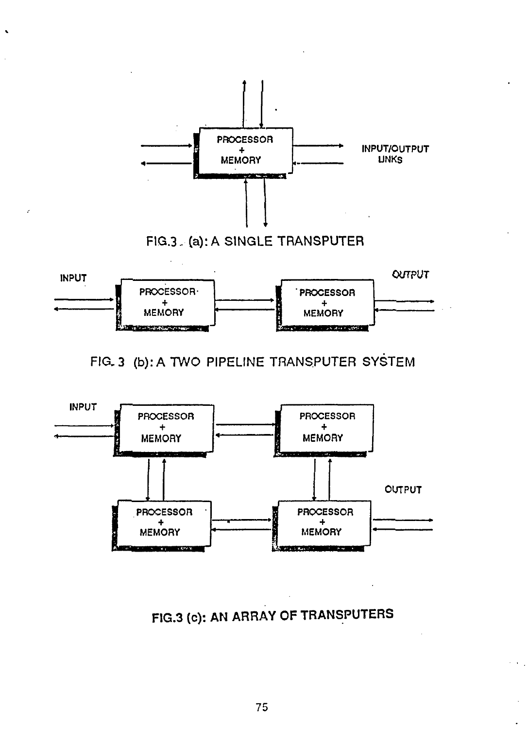





FIG.3 (c): AN ARRAY OF TRANSPUTERS